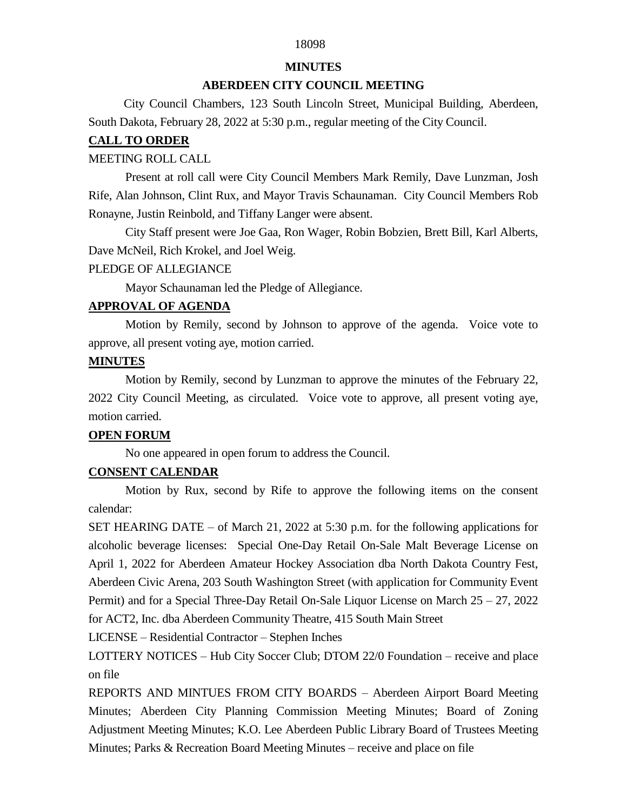# 18098

#### **MINUTES**

#### **ABERDEEN CITY COUNCIL MEETING**

 City Council Chambers, 123 South Lincoln Street, Municipal Building, Aberdeen, South Dakota, February 28, 2022 at 5:30 p.m., regular meeting of the City Council.

#### **CALL TO ORDER**

#### MEETING ROLL CALL

Present at roll call were City Council Members Mark Remily, Dave Lunzman, Josh Rife, Alan Johnson, Clint Rux, and Mayor Travis Schaunaman. City Council Members Rob Ronayne, Justin Reinbold, and Tiffany Langer were absent.

City Staff present were Joe Gaa, Ron Wager, Robin Bobzien, Brett Bill, Karl Alberts, Dave McNeil, Rich Krokel, and Joel Weig.

#### PLEDGE OF ALLEGIANCE

Mayor Schaunaman led the Pledge of Allegiance.

## **APPROVAL OF AGENDA**

Motion by Remily, second by Johnson to approve of the agenda. Voice vote to approve, all present voting aye, motion carried.

### **MINUTES**

Motion by Remily, second by Lunzman to approve the minutes of the February 22, 2022 City Council Meeting, as circulated. Voice vote to approve, all present voting aye, motion carried.

## **OPEN FORUM**

No one appeared in open forum to address the Council.

# **CONSENT CALENDAR**

Motion by Rux, second by Rife to approve the following items on the consent calendar:

SET HEARING DATE – of March 21, 2022 at 5:30 p.m. for the following applications for alcoholic beverage licenses: Special One-Day Retail On-Sale Malt Beverage License on April 1, 2022 for Aberdeen Amateur Hockey Association dba North Dakota Country Fest, Aberdeen Civic Arena, 203 South Washington Street (with application for Community Event Permit) and for a Special Three-Day Retail On-Sale Liquor License on March 25 – 27, 2022 for ACT2, Inc. dba Aberdeen Community Theatre, 415 South Main Street

LICENSE – Residential Contractor – Stephen Inches

LOTTERY NOTICES – Hub City Soccer Club; DTOM 22/0 Foundation – receive and place on file

REPORTS AND MINTUES FROM CITY BOARDS – Aberdeen Airport Board Meeting Minutes; Aberdeen City Planning Commission Meeting Minutes; Board of Zoning Adjustment Meeting Minutes; K.O. Lee Aberdeen Public Library Board of Trustees Meeting Minutes; Parks & Recreation Board Meeting Minutes – receive and place on file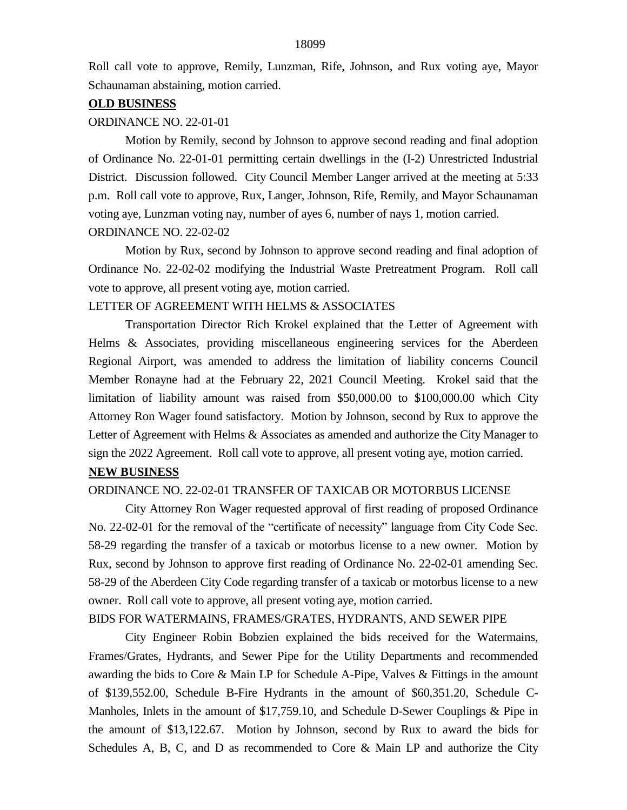Roll call vote to approve, Remily, Lunzman, Rife, Johnson, and Rux voting aye, Mayor Schaunaman abstaining, motion carried.

#### **OLD BUSINESS**

#### ORDINANCE NO. 22-01-01

Motion by Remily, second by Johnson to approve second reading and final adoption of Ordinance No. 22-01-01 permitting certain dwellings in the (I-2) Unrestricted Industrial District. Discussion followed. City Council Member Langer arrived at the meeting at 5:33 p.m. Roll call vote to approve, Rux, Langer, Johnson, Rife, Remily, and Mayor Schaunaman voting aye, Lunzman voting nay, number of ayes 6, number of nays 1, motion carried. ORDINANCE NO. 22-02-02

Motion by Rux, second by Johnson to approve second reading and final adoption of Ordinance No. 22-02-02 modifying the Industrial Waste Pretreatment Program. Roll call vote to approve, all present voting aye, motion carried.

### LETTER OF AGREEMENT WITH HELMS & ASSOCIATES

Transportation Director Rich Krokel explained that the Letter of Agreement with Helms & Associates, providing miscellaneous engineering services for the Aberdeen Regional Airport, was amended to address the limitation of liability concerns Council Member Ronayne had at the February 22, 2021 Council Meeting. Krokel said that the limitation of liability amount was raised from \$50,000.00 to \$100,000.00 which City Attorney Ron Wager found satisfactory. Motion by Johnson, second by Rux to approve the Letter of Agreement with Helms & Associates as amended and authorize the City Manager to sign the 2022 Agreement. Roll call vote to approve, all present voting aye, motion carried.

# **NEW BUSINESS**

# ORDINANCE NO. 22-02-01 TRANSFER OF TAXICAB OR MOTORBUS LICENSE

City Attorney Ron Wager requested approval of first reading of proposed Ordinance No. 22-02-01 for the removal of the "certificate of necessity" language from City Code Sec. 58-29 regarding the transfer of a taxicab or motorbus license to a new owner. Motion by Rux, second by Johnson to approve first reading of Ordinance No. 22-02-01 amending Sec. 58-29 of the Aberdeen City Code regarding transfer of a taxicab or motorbus license to a new owner. Roll call vote to approve, all present voting aye, motion carried.

#### BIDS FOR WATERMAINS, FRAMES/GRATES, HYDRANTS, AND SEWER PIPE

City Engineer Robin Bobzien explained the bids received for the Watermains, Frames/Grates, Hydrants, and Sewer Pipe for the Utility Departments and recommended awarding the bids to Core & Main LP for Schedule A-Pipe, Valves & Fittings in the amount of \$139,552.00, Schedule B-Fire Hydrants in the amount of \$60,351.20, Schedule C-Manholes, Inlets in the amount of \$17,759.10, and Schedule D-Sewer Couplings & Pipe in the amount of \$13,122.67. Motion by Johnson, second by Rux to award the bids for Schedules A, B, C, and D as recommended to Core  $\&$  Main LP and authorize the City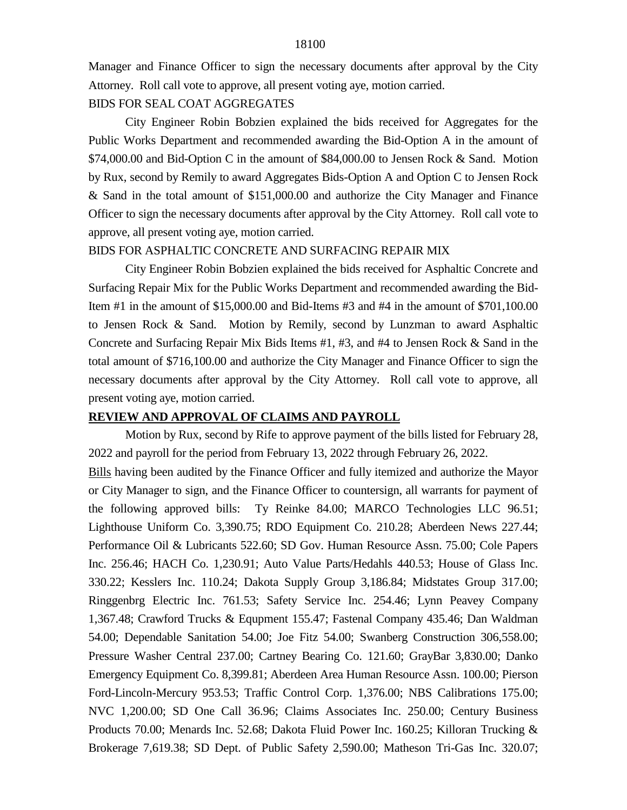Manager and Finance Officer to sign the necessary documents after approval by the City Attorney. Roll call vote to approve, all present voting aye, motion carried.

#### BIDS FOR SEAL COAT AGGREGATES

City Engineer Robin Bobzien explained the bids received for Aggregates for the Public Works Department and recommended awarding the Bid-Option A in the amount of \$74,000.00 and Bid-Option C in the amount of \$84,000.00 to Jensen Rock & Sand. Motion by Rux, second by Remily to award Aggregates Bids-Option A and Option C to Jensen Rock & Sand in the total amount of \$151,000.00 and authorize the City Manager and Finance Officer to sign the necessary documents after approval by the City Attorney. Roll call vote to approve, all present voting aye, motion carried.

#### BIDS FOR ASPHALTIC CONCRETE AND SURFACING REPAIR MIX

City Engineer Robin Bobzien explained the bids received for Asphaltic Concrete and Surfacing Repair Mix for the Public Works Department and recommended awarding the Bid-Item #1 in the amount of \$15,000.00 and Bid-Items #3 and #4 in the amount of \$701,100.00 to Jensen Rock & Sand. Motion by Remily, second by Lunzman to award Asphaltic Concrete and Surfacing Repair Mix Bids Items #1, #3, and #4 to Jensen Rock & Sand in the total amount of \$716,100.00 and authorize the City Manager and Finance Officer to sign the necessary documents after approval by the City Attorney. Roll call vote to approve, all present voting aye, motion carried.

# **REVIEW AND APPROVAL OF CLAIMS AND PAYROLL**

Motion by Rux, second by Rife to approve payment of the bills listed for February 28, 2022 and payroll for the period from February 13, 2022 through February 26, 2022.

Bills having been audited by the Finance Officer and fully itemized and authorize the Mayor or City Manager to sign, and the Finance Officer to countersign, all warrants for payment of the following approved bills: Ty Reinke 84.00; MARCO Technologies LLC 96.51; Lighthouse Uniform Co. 3,390.75; RDO Equipment Co. 210.28; Aberdeen News 227.44; Performance Oil & Lubricants 522.60; SD Gov. Human Resource Assn. 75.00; Cole Papers Inc. 256.46; HACH Co. 1,230.91; Auto Value Parts/Hedahls 440.53; House of Glass Inc. 330.22; Kesslers Inc. 110.24; Dakota Supply Group 3,186.84; Midstates Group 317.00; Ringgenbrg Electric Inc. 761.53; Safety Service Inc. 254.46; Lynn Peavey Company 1,367.48; Crawford Trucks & Equpment 155.47; Fastenal Company 435.46; Dan Waldman 54.00; Dependable Sanitation 54.00; Joe Fitz 54.00; Swanberg Construction 306,558.00; Pressure Washer Central 237.00; Cartney Bearing Co. 121.60; GrayBar 3,830.00; Danko Emergency Equipment Co. 8,399.81; Aberdeen Area Human Resource Assn. 100.00; Pierson Ford-Lincoln-Mercury 953.53; Traffic Control Corp. 1,376.00; NBS Calibrations 175.00; NVC 1,200.00; SD One Call 36.96; Claims Associates Inc. 250.00; Century Business Products 70.00; Menards Inc. 52.68; Dakota Fluid Power Inc. 160.25; Killoran Trucking & Brokerage 7,619.38; SD Dept. of Public Safety 2,590.00; Matheson Tri-Gas Inc. 320.07;